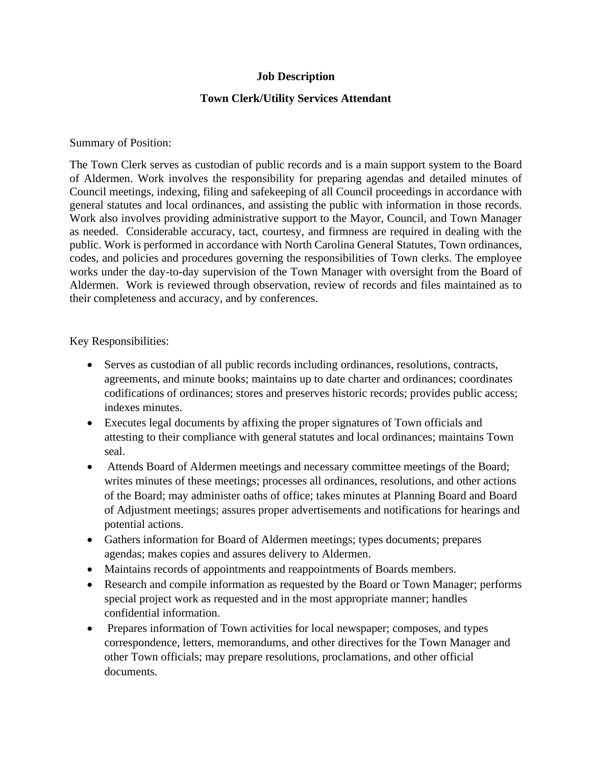### **Job Description**

### **Town Clerk/Utility Services Attendant**

#### Summary of Position:

The Town Clerk serves as custodian of public records and is a main support system to the Board of Aldermen. Work involves the responsibility for preparing agendas and detailed minutes of Council meetings, indexing, filing and safekeeping of all Council proceedings in accordance with general statutes and local ordinances, and assisting the public with information in those records. Work also involves providing administrative support to the Mayor, Council, and Town Manager as needed. Considerable accuracy, tact, courtesy, and firmness are required in dealing with the public. Work is performed in accordance with North Carolina General Statutes, Town ordinances, codes, and policies and procedures governing the responsibilities of Town clerks. The employee works under the day-to-day supervision of the Town Manager with oversight from the Board of Aldermen. Work is reviewed through observation, review of records and files maintained as to their completeness and accuracy, and by conferences.

### Key Responsibilities:

- Serves as custodian of all public records including ordinances, resolutions, contracts, agreements, and minute books; maintains up to date charter and ordinances; coordinates codifications of ordinances; stores and preserves historic records; provides public access; indexes minutes.
- Executes legal documents by affixing the proper signatures of Town officials and attesting to their compliance with general statutes and local ordinances; maintains Town seal.
- Attends Board of Aldermen meetings and necessary committee meetings of the Board; writes minutes of these meetings; processes all ordinances, resolutions, and other actions of the Board; may administer oaths of office; takes minutes at Planning Board and Board of Adjustment meetings; assures proper advertisements and notifications for hearings and potential actions.
- Gathers information for Board of Aldermen meetings; types documents; prepares agendas; makes copies and assures delivery to Aldermen.
- Maintains records of appointments and reappointments of Boards members.
- Research and compile information as requested by the Board or Town Manager; performs special project work as requested and in the most appropriate manner; handles confidential information.
- Prepares information of Town activities for local newspaper; composes, and types correspondence, letters, memorandums, and other directives for the Town Manager and other Town officials; may prepare resolutions, proclamations, and other official documents.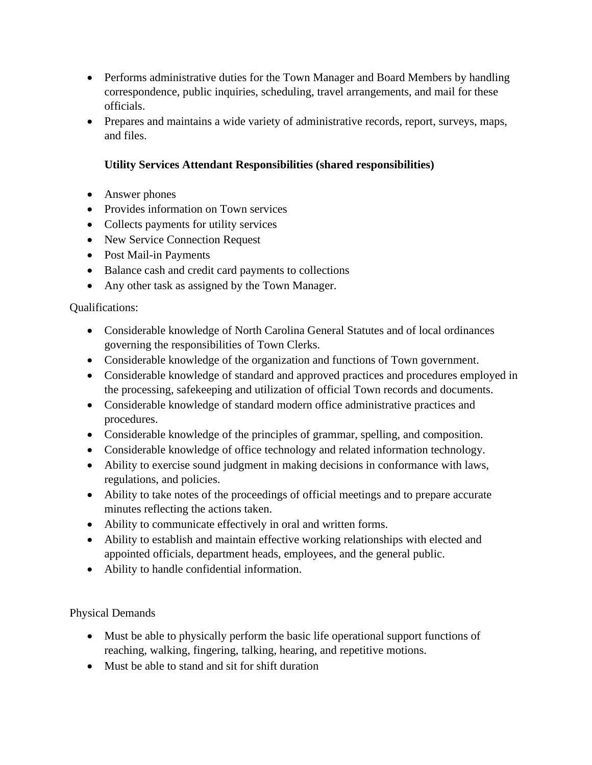- Performs administrative duties for the Town Manager and Board Members by handling correspondence, public inquiries, scheduling, travel arrangements, and mail for these officials.
- Prepares and maintains a wide variety of administrative records, report, surveys, maps, and files.

# **Utility Services Attendant Responsibilities (shared responsibilities)**

- Answer phones
- Provides information on Town services
- Collects payments for utility services
- New Service Connection Request
- Post Mail-in Payments
- Balance cash and credit card payments to collections
- Any other task as assigned by the Town Manager.

# Qualifications:

- Considerable knowledge of North Carolina General Statutes and of local ordinances governing the responsibilities of Town Clerks.
- Considerable knowledge of the organization and functions of Town government.
- Considerable knowledge of standard and approved practices and procedures employed in the processing, safekeeping and utilization of official Town records and documents.
- Considerable knowledge of standard modern office administrative practices and procedures.
- Considerable knowledge of the principles of grammar, spelling, and composition.
- Considerable knowledge of office technology and related information technology.
- Ability to exercise sound judgment in making decisions in conformance with laws, regulations, and policies.
- Ability to take notes of the proceedings of official meetings and to prepare accurate minutes reflecting the actions taken.
- Ability to communicate effectively in oral and written forms.
- Ability to establish and maintain effective working relationships with elected and appointed officials, department heads, employees, and the general public.
- Ability to handle confidential information.

# Physical Demands

- Must be able to physically perform the basic life operational support functions of reaching, walking, fingering, talking, hearing, and repetitive motions.
- Must be able to stand and sit for shift duration